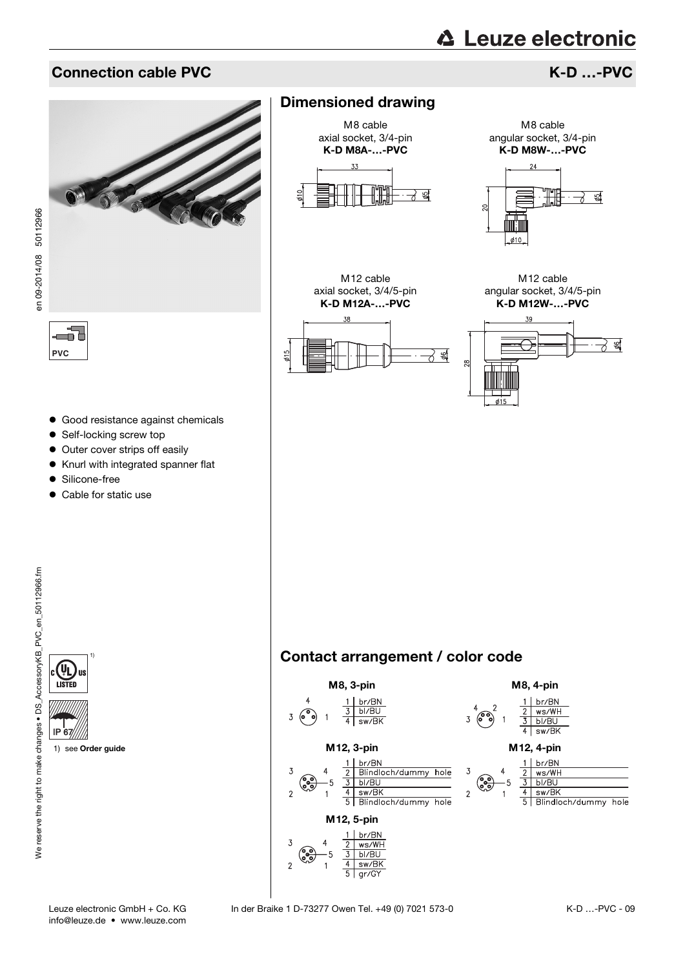#### Connection cable PVC **K-D** …-PVC



# en 09-2014/08 50112966 en 09-2014/08 50112966

ے۔ **PVC**

- Good resistance against chemicals
- Self-locking screw top
- Outer cover strips off easily
- Knurl with integrated spanner flat
- **•** Silicone-free

1)

1) see [Order guide](#page-1-0)

• Cable for static use

## Dimensioned drawing







M8 cable angular socket, 3/4-pin K-D M8W-…-PVC



M12 cable angular socket, 3/4/5-pin K-D M12W-…-PVC



### Contact arrangement / color code



IP 67

 $\left( 0\right)$ alls **LISTED**